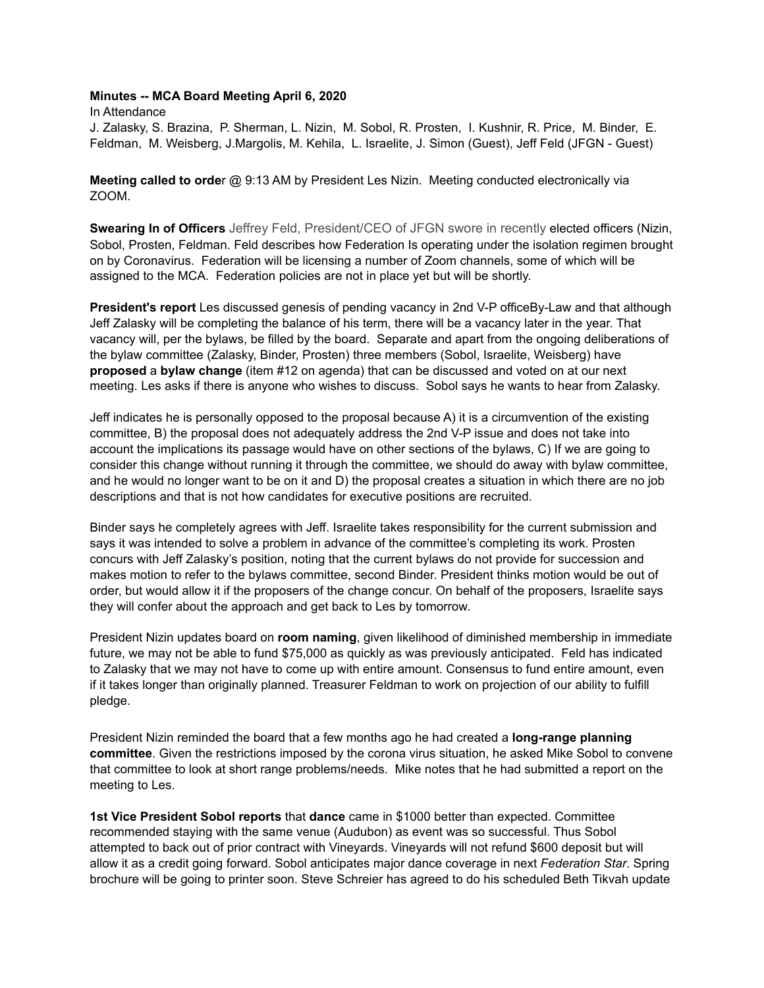## **Minutes -- MCA Board Meeting April 6, 2020**

In Attendance J. Zalasky, S. Brazina, P. Sherman, L. Nizin, M. Sobol, R. Prosten, I. Kushnir, R. Price, M. Binder, E. Feldman, M. Weisberg, J.Margolis, M. Kehila, L. Israelite, J. Simon (Guest), Jeff Feld (JFGN - Guest)

**Meeting called to orde**r @ 9:13 AM by President Les Nizin. Meeting conducted electronically via ZOOM.

**Swearing In of Officers** Jeffrey Feld, President/CEO of JFGN swore in recently elected officers (Nizin, Sobol, Prosten, Feldman. Feld describes how Federation Is operating under the isolation regimen brought on by Coronavirus. Federation will be licensing a number of Zoom channels, some of which will be assigned to the MCA. Federation policies are not in place yet but will be shortly.

**President's report** Les discussed genesis of pending vacancy in 2nd V-P officeBy-Law and that although Jeff Zalasky will be completing the balance of his term, there will be a vacancy later in the year. That vacancy will, per the bylaws, be filled by the board. Separate and apart from the ongoing deliberations of the bylaw committee (Zalasky, Binder, Prosten) three members (Sobol, Israelite, Weisberg) have **proposed** a **bylaw change** (item #12 on agenda) that can be discussed and voted on at our next meeting. Les asks if there is anyone who wishes to discuss. Sobol says he wants to hear from Zalasky.

Jeff indicates he is personally opposed to the proposal because A) it is a circumvention of the existing committee, B) the proposal does not adequately address the 2nd V-P issue and does not take into account the implications its passage would have on other sections of the bylaws, C) If we are going to consider this change without running it through the committee, we should do away with bylaw committee, and he would no longer want to be on it and D) the proposal creates a situation in which there are no job descriptions and that is not how candidates for executive positions are recruited.

Binder says he completely agrees with Jeff. Israelite takes responsibility for the current submission and says it was intended to solve a problem in advance of the committee's completing its work. Prosten concurs with Jeff Zalasky's position, noting that the current bylaws do not provide for succession and makes motion to refer to the bylaws committee, second Binder. President thinks motion would be out of order, but would allow it if the proposers of the change concur. On behalf of the proposers, Israelite says they will confer about the approach and get back to Les by tomorrow.

President Nizin updates board on **room naming**, given likelihood of diminished membership in immediate future, we may not be able to fund \$75,000 as quickly as was previously anticipated. Feld has indicated to Zalasky that we may not have to come up with entire amount. Consensus to fund entire amount, even if it takes longer than originally planned. Treasurer Feldman to work on projection of our ability to fulfill pledge.

President Nizin reminded the board that a few months ago he had created a **long-range planning committee**. Given the restrictions imposed by the corona virus situation, he asked Mike Sobol to convene that committee to look at short range problems/needs. Mike notes that he had submitted a report on the meeting to Les.

**1st Vice President Sobol reports** that **dance** came in \$1000 better than expected. Committee recommended staying with the same venue (Audubon) as event was so successful. Thus Sobol attempted to back out of prior contract with Vineyards. Vineyards will not refund \$600 deposit but will allow it as a credit going forward. Sobol anticipates major dance coverage in next *Federation Star*. Spring brochure will be going to printer soon. Steve Schreier has agreed to do his scheduled Beth Tikvah update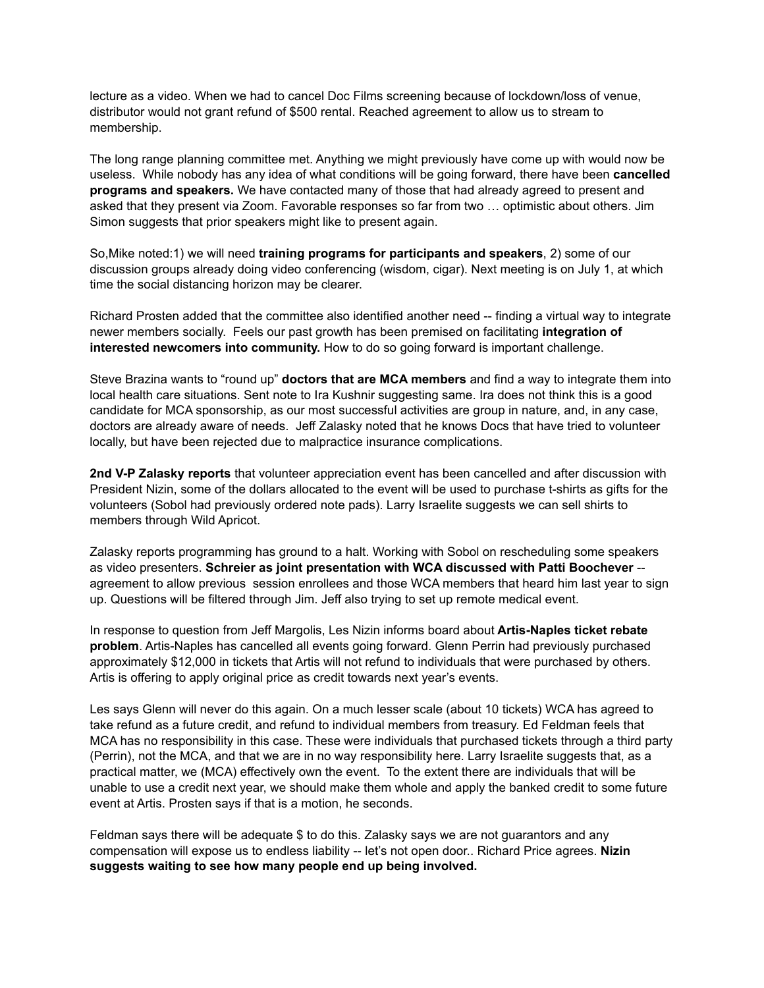lecture as a video. When we had to cancel Doc Films screening because of lockdown/loss of venue, distributor would not grant refund of \$500 rental. Reached agreement to allow us to stream to membership.

The long range planning committee met. Anything we might previously have come up with would now be useless. While nobody has any idea of what conditions will be going forward, there have been **cancelled programs and speakers.** We have contacted many of those that had already agreed to present and asked that they present via Zoom. Favorable responses so far from two … optimistic about others. Jim Simon suggests that prior speakers might like to present again.

So,Mike noted:1) we will need **training programs for participants and speakers**, 2) some of our discussion groups already doing video conferencing (wisdom, cigar). Next meeting is on July 1, at which time the social distancing horizon may be clearer.

Richard Prosten added that the committee also identified another need -- finding a virtual way to integrate newer members socially. Feels our past growth has been premised on facilitating **integration of interested newcomers into community.** How to do so going forward is important challenge.

Steve Brazina wants to "round up" **doctors that are MCA members** and find a way to integrate them into local health care situations. Sent note to Ira Kushnir suggesting same. Ira does not think this is a good candidate for MCA sponsorship, as our most successful activities are group in nature, and, in any case, doctors are already aware of needs. Jeff Zalasky noted that he knows Docs that have tried to volunteer locally, but have been rejected due to malpractice insurance complications.

**2nd V-P Zalasky reports** that volunteer appreciation event has been cancelled and after discussion with President Nizin, some of the dollars allocated to the event will be used to purchase t-shirts as gifts for the volunteers (Sobol had previously ordered note pads). Larry Israelite suggests we can sell shirts to members through Wild Apricot.

Zalasky reports programming has ground to a halt. Working with Sobol on rescheduling some speakers as video presenters. **Schreier as joint presentation with WCA discussed with Patti Boochever** - agreement to allow previous session enrollees and those WCA members that heard him last year to sign up. Questions will be filtered through Jim. Jeff also trying to set up remote medical event.

In response to question from Jeff Margolis, Les Nizin informs board about **Artis-Naples ticket rebate problem**. Artis-Naples has cancelled all events going forward. Glenn Perrin had previously purchased approximately \$12,000 in tickets that Artis will not refund to individuals that were purchased by others. Artis is offering to apply original price as credit towards next year's events.

Les says Glenn will never do this again. On a much lesser scale (about 10 tickets) WCA has agreed to take refund as a future credit, and refund to individual members from treasury. Ed Feldman feels that MCA has no responsibility in this case. These were individuals that purchased tickets through a third party (Perrin), not the MCA, and that we are in no way responsibility here. Larry Israelite suggests that, as a practical matter, we (MCA) effectively own the event. To the extent there are individuals that will be unable to use a credit next year, we should make them whole and apply the banked credit to some future event at Artis. Prosten says if that is a motion, he seconds.

Feldman says there will be adequate \$ to do this. Zalasky says we are not guarantors and any compensation will expose us to endless liability -- let's not open door.. Richard Price agrees. **Nizin suggests waiting to see how many people end up being involved.**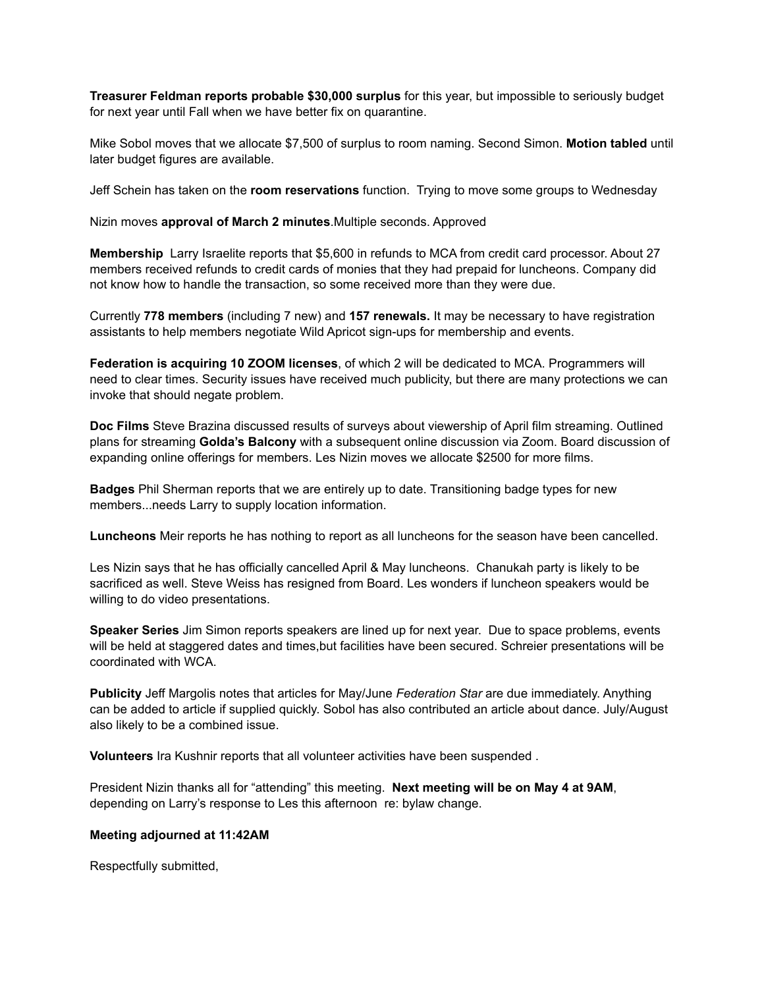**Treasurer Feldman reports probable \$30,000 surplus** for this year, but impossible to seriously budget for next year until Fall when we have better fix on quarantine.

Mike Sobol moves that we allocate \$7,500 of surplus to room naming. Second Simon. **Motion tabled** until later budget figures are available.

Jeff Schein has taken on the **room reservations** function. Trying to move some groups to Wednesday

Nizin moves **approval of March 2 minutes**.Multiple seconds. Approved

**Membership** Larry Israelite reports that \$5,600 in refunds to MCA from credit card processor. About 27 members received refunds to credit cards of monies that they had prepaid for luncheons. Company did not know how to handle the transaction, so some received more than they were due.

Currently **778 members** (including 7 new) and **157 renewals.** It may be necessary to have registration assistants to help members negotiate Wild Apricot sign-ups for membership and events.

**Federation is acquiring 10 ZOOM licenses**, of which 2 will be dedicated to MCA. Programmers will need to clear times. Security issues have received much publicity, but there are many protections we can invoke that should negate problem.

**Doc Films** Steve Brazina discussed results of surveys about viewership of April film streaming. Outlined plans for streaming **Golda's Balcony** with a subsequent online discussion via Zoom. Board discussion of expanding online offerings for members. Les Nizin moves we allocate \$2500 for more films.

**Badges** Phil Sherman reports that we are entirely up to date. Transitioning badge types for new members...needs Larry to supply location information.

**Luncheons** Meir reports he has nothing to report as all luncheons for the season have been cancelled.

Les Nizin says that he has officially cancelled April & May luncheons. Chanukah party is likely to be sacrificed as well. Steve Weiss has resigned from Board. Les wonders if luncheon speakers would be willing to do video presentations.

**Speaker Series** Jim Simon reports speakers are lined up for next year. Due to space problems, events will be held at staggered dates and times,but facilities have been secured. Schreier presentations will be coordinated with WCA.

**Publicity** Jeff Margolis notes that articles for May/June *Federation Star* are due immediately. Anything can be added to article if supplied quickly. Sobol has also contributed an article about dance. July/August also likely to be a combined issue.

**Volunteers** Ira Kushnir reports that all volunteer activities have been suspended .

President Nizin thanks all for "attending" this meeting. **Next meeting will be on May 4 at 9AM**, depending on Larry's response to Les this afternoon re: bylaw change.

## **Meeting adjourned at 11:42AM**

Respectfully submitted,